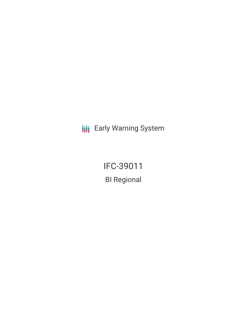**III** Early Warning System

IFC-39011 BI Regional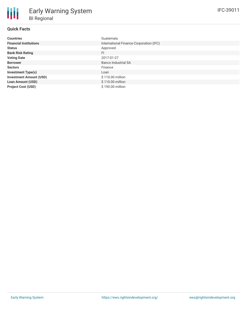# **Quick Facts**

| <b>Countries</b>               | Guatemala                               |
|--------------------------------|-----------------------------------------|
| <b>Financial Institutions</b>  | International Finance Corporation (IFC) |
| <b>Status</b>                  | Approved                                |
| <b>Bank Risk Rating</b>        | FI                                      |
| <b>Voting Date</b>             | 2017-01-27                              |
| <b>Borrower</b>                | <b>Banco Industrial SA</b>              |
| <b>Sectors</b>                 | Finance                                 |
| <b>Investment Type(s)</b>      | Loan                                    |
| <b>Investment Amount (USD)</b> | \$110.00 million                        |
| <b>Loan Amount (USD)</b>       | \$110.00 million                        |
| <b>Project Cost (USD)</b>      | \$190.00 million                        |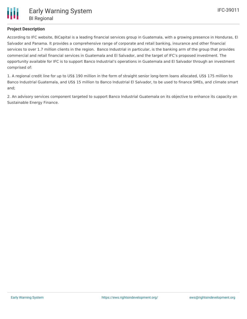# **Project Description**

According to IFC website, BiCapital is a leading financial services group in Guatemala, with a growing presence in Honduras, El Salvador and Panama. It provides a comprehensive range of corporate and retail banking, insurance and other financial services to over 1.7 million clients in the region. Banco Industrial in particular, is the banking arm of the group that provides commercial and retail financial services in Guatemala and El Salvador, and the target of IFC's proposed investment. The opportunity available for IFC is to support Banco Industrial's operations in Guatemala and El Salvador through an investment comprised of:

1. A regional credit line for up to US\$ 190 million in the form of straight senior long-term loans allocated, US\$ 175 million to Banco Industrial Guatemala, and US\$ 15 million to Banco Industrial El Salvador, to be used to finance SMEs, and climate smart and;

2. An advisory services component targeted to support Banco Industrial Guatemala on its objective to enhance its capacity on Sustainable Energy Finance.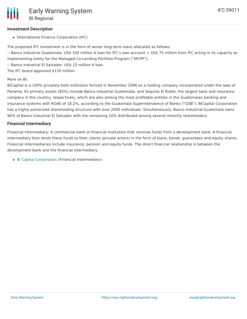## **Investment Description**

• International Finance Corporation (IFC)

The proposed IFC investment is in the form of senior long-term loans allocated as follows:

-- Banco Industrial Guatemala: US\$ 100 million A loan for IFC's own account + US\$ 75 million from IFC acting in its capacity as implementing entity for the Managed Co-Lending Portfolio Program ("MCPP"),

-- Banco Industrial El Salvador: US\$ 15 million A loan

The IFC board approved \$110 million.

#### More on BI:

BiCapital is a 100% privately-held institution formed in November 2006 as a holding company incorporated under the laws of Panama. Its primary assets (85%) include Banco Industrial Guatemala, and Seguros El Roble, the largest bank and insurance company in the country, respectively, which are also among the most profitable entities in the Guatemalan banking and insurance systems with ROAE of 18.2%, according to the Guatemala Superintendence of Banks ("GSB"). BiCapital Corporation has a highly pulverized shareholding structure with over 2000 individuals. Simultaneously, Banco Industrial Guatemala owns 90% of Banco Industrial El Salvador with the remaining 10% distributed among several minority shareholders.

#### **Financial Intermediary**

Financial Intermediary: A commercial bank or financial institution that receives funds from a development bank. A financial intermediary then lends these funds to their clients (private actors) in the form of loans, bonds, guarantees and equity shares. Financial intermediaries include insurance, pension and equity funds. The direct financial relationship is between the development bank and the financial intermediary.

• Bi Capital [Corporation](file:///actor/816/) (Financial Intermediary)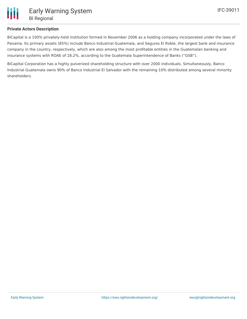

## **Private Actors Description**

BiCapital is a 100% privately-held institution formed in November 2006 as a holding company incorporated under the laws of Panama. Its primary assets (85%) include Banco Industrial Guatemala, and Seguros El Roble, the largest bank and insurance company in the country, respectively, which are also among the most profitable entities in the Guatemalan banking and insurance systems with ROAE of 18.2%, according to the Guatemala Superintendence of Banks ("GSB").

BiCapital Corporation has a highly pulverized shareholding structure with over 2000 individuals. Simultaneously, Banco Industrial Guatemala owns 90% of Banco Industrial El Salvador with the remaining 10% distributed among several minority shareholders.